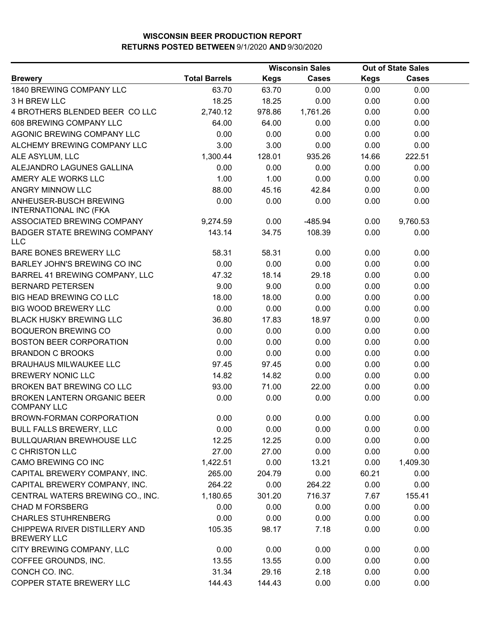|                                                          |                      | <b>Wisconsin Sales</b> |              | <b>Out of State Sales</b> |              |  |
|----------------------------------------------------------|----------------------|------------------------|--------------|---------------------------|--------------|--|
| <b>Brewery</b>                                           | <b>Total Barrels</b> | <b>Kegs</b>            | <b>Cases</b> | <b>Kegs</b>               | <b>Cases</b> |  |
| 1840 BREWING COMPANY LLC                                 | 63.70                | 63.70                  | 0.00         | 0.00                      | 0.00         |  |
| 3 H BREW LLC                                             | 18.25                | 18.25                  | 0.00         | 0.00                      | 0.00         |  |
| 4 BROTHERS BLENDED BEER COLLC                            | 2,740.12             | 978.86                 | 1,761.26     | 0.00                      | 0.00         |  |
| 608 BREWING COMPANY LLC                                  | 64.00                | 64.00                  | 0.00         | 0.00                      | 0.00         |  |
| AGONIC BREWING COMPANY LLC                               | 0.00                 | 0.00                   | 0.00         | 0.00                      | 0.00         |  |
| ALCHEMY BREWING COMPANY LLC                              | 3.00                 | 3.00                   | 0.00         | 0.00                      | 0.00         |  |
| ALE ASYLUM, LLC                                          | 1,300.44             | 128.01                 | 935.26       | 14.66                     | 222.51       |  |
| ALEJANDRO LAGUNES GALLINA                                | 0.00                 | 0.00                   | 0.00         | 0.00                      | 0.00         |  |
| AMERY ALE WORKS LLC                                      | 1.00                 | 1.00                   | 0.00         | 0.00                      | 0.00         |  |
| ANGRY MINNOW LLC                                         | 88.00                | 45.16                  | 42.84        | 0.00                      | 0.00         |  |
| ANHEUSER-BUSCH BREWING<br><b>INTERNATIONAL INC (FKA</b>  | 0.00                 | 0.00                   | 0.00         | 0.00                      | 0.00         |  |
| ASSOCIATED BREWING COMPANY                               | 9,274.59             | 0.00                   | $-485.94$    | 0.00                      | 9,760.53     |  |
| <b>BADGER STATE BREWING COMPANY</b><br><b>LLC</b>        | 143.14               | 34.75                  | 108.39       | 0.00                      | 0.00         |  |
| BARE BONES BREWERY LLC                                   | 58.31                | 58.31                  | 0.00         | 0.00                      | 0.00         |  |
| BARLEY JOHN'S BREWING CO INC                             | 0.00                 | 0.00                   | 0.00         | 0.00                      | 0.00         |  |
| BARREL 41 BREWING COMPANY, LLC                           | 47.32                | 18.14                  | 29.18        | 0.00                      | 0.00         |  |
| <b>BERNARD PETERSEN</b>                                  | 9.00                 | 9.00                   | 0.00         | 0.00                      | 0.00         |  |
| BIG HEAD BREWING CO LLC                                  | 18.00                | 18.00                  | 0.00         | 0.00                      | 0.00         |  |
| <b>BIG WOOD BREWERY LLC</b>                              | 0.00                 | 0.00                   | 0.00         | 0.00                      | 0.00         |  |
| <b>BLACK HUSKY BREWING LLC</b>                           | 36.80                | 17.83                  | 18.97        | 0.00                      | 0.00         |  |
| <b>BOQUERON BREWING CO</b>                               | 0.00                 | 0.00                   | 0.00         | 0.00                      | 0.00         |  |
| <b>BOSTON BEER CORPORATION</b>                           | 0.00                 | 0.00                   | 0.00         | 0.00                      | 0.00         |  |
| <b>BRANDON C BROOKS</b>                                  | 0.00                 | 0.00                   | 0.00         | 0.00                      | 0.00         |  |
| <b>BRAUHAUS MILWAUKEE LLC</b>                            | 97.45                | 97.45                  | 0.00         | 0.00                      | 0.00         |  |
| <b>BREWERY NONIC LLC</b>                                 | 14.82                | 14.82                  | 0.00         | 0.00                      | 0.00         |  |
| <b>BROKEN BAT BREWING CO LLC</b>                         | 93.00                | 71.00                  | 22.00        | 0.00                      | 0.00         |  |
| <b>BROKEN LANTERN ORGANIC BEER</b><br><b>COMPANY LLC</b> | 0.00                 | 0.00                   | 0.00         | 0.00                      | 0.00         |  |
| BROWN-FORMAN CORPORATION                                 | 0.00                 | 0.00                   | 0.00         | 0.00                      | 0.00         |  |
| <b>BULL FALLS BREWERY, LLC</b>                           | 0.00                 | 0.00                   | 0.00         | 0.00                      | 0.00         |  |
| <b>BULLQUARIAN BREWHOUSE LLC</b>                         | 12.25                | 12.25                  | 0.00         | 0.00                      | 0.00         |  |
| <b>C CHRISTON LLC</b>                                    | 27.00                | 27.00                  | 0.00         | 0.00                      | 0.00         |  |
| CAMO BREWING CO INC                                      | 1,422.51             | 0.00                   | 13.21        | 0.00                      | 1,409.30     |  |
| CAPITAL BREWERY COMPANY, INC.                            | 265.00               | 204.79                 | 0.00         | 60.21                     | 0.00         |  |
| CAPITAL BREWERY COMPANY, INC.                            | 264.22               | 0.00                   | 264.22       | 0.00                      | 0.00         |  |
| CENTRAL WATERS BREWING CO., INC.                         | 1,180.65             | 301.20                 | 716.37       | 7.67                      | 155.41       |  |
| <b>CHAD M FORSBERG</b>                                   | 0.00                 | 0.00                   | 0.00         | 0.00                      | 0.00         |  |
| <b>CHARLES STUHRENBERG</b>                               | 0.00                 | 0.00                   | 0.00         | 0.00                      | 0.00         |  |
| CHIPPEWA RIVER DISTILLERY AND<br><b>BREWERY LLC</b>      | 105.35               | 98.17                  | 7.18         | 0.00                      | 0.00         |  |
| CITY BREWING COMPANY, LLC                                | 0.00                 | 0.00                   | 0.00         | 0.00                      | 0.00         |  |
| COFFEE GROUNDS, INC.                                     | 13.55                | 13.55                  | 0.00         | 0.00                      | 0.00         |  |
| CONCH CO. INC.                                           | 31.34                | 29.16                  | 2.18         | 0.00                      | 0.00         |  |
| COPPER STATE BREWERY LLC                                 | 144.43               | 144.43                 | 0.00         | 0.00                      | 0.00         |  |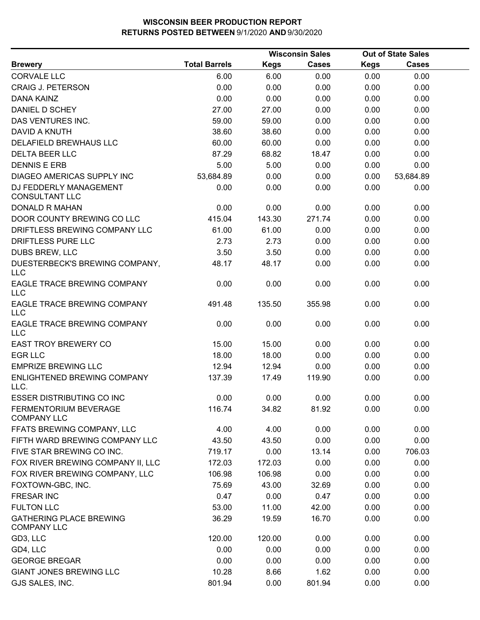|                                                      |                      |             | <b>Wisconsin Sales</b> |             | <b>Out of State Sales</b> |  |
|------------------------------------------------------|----------------------|-------------|------------------------|-------------|---------------------------|--|
| <b>Brewery</b>                                       | <b>Total Barrels</b> | <b>Kegs</b> | Cases                  | <b>Kegs</b> | <b>Cases</b>              |  |
| <b>CORVALE LLC</b>                                   | 6.00                 | 6.00        | 0.00                   | 0.00        | 0.00                      |  |
| <b>CRAIG J. PETERSON</b>                             | 0.00                 | 0.00        | 0.00                   | 0.00        | 0.00                      |  |
| <b>DANA KAINZ</b>                                    | 0.00                 | 0.00        | 0.00                   | 0.00        | 0.00                      |  |
| DANIEL D SCHEY                                       | 27.00                | 27.00       | 0.00                   | 0.00        | 0.00                      |  |
| DAS VENTURES INC.                                    | 59.00                | 59.00       | 0.00                   | 0.00        | 0.00                      |  |
| DAVID A KNUTH                                        | 38.60                | 38.60       | 0.00                   | 0.00        | 0.00                      |  |
| DELAFIELD BREWHAUS LLC                               | 60.00                | 60.00       | 0.00                   | 0.00        | 0.00                      |  |
| <b>DELTA BEER LLC</b>                                | 87.29                | 68.82       | 18.47                  | 0.00        | 0.00                      |  |
| <b>DENNIS E ERB</b>                                  | 5.00                 | 5.00        | 0.00                   | 0.00        | 0.00                      |  |
| <b>DIAGEO AMERICAS SUPPLY INC</b>                    | 53,684.89            | 0.00        | 0.00                   | 0.00        | 53,684.89                 |  |
| DJ FEDDERLY MANAGEMENT<br><b>CONSULTANT LLC</b>      | 0.00                 | 0.00        | 0.00                   | 0.00        | 0.00                      |  |
| <b>DONALD R MAHAN</b>                                | 0.00                 | 0.00        | 0.00                   | 0.00        | 0.00                      |  |
| DOOR COUNTY BREWING CO LLC                           | 415.04               | 143.30      | 271.74                 | 0.00        | 0.00                      |  |
| DRIFTLESS BREWING COMPANY LLC                        | 61.00                | 61.00       | 0.00                   | 0.00        | 0.00                      |  |
| DRIFTLESS PURE LLC                                   | 2.73                 | 2.73        | 0.00                   | 0.00        | 0.00                      |  |
| DUBS BREW, LLC                                       | 3.50                 | 3.50        | 0.00                   | 0.00        | 0.00                      |  |
| DUESTERBECK'S BREWING COMPANY,<br><b>LLC</b>         | 48.17                | 48.17       | 0.00                   | 0.00        | 0.00                      |  |
| EAGLE TRACE BREWING COMPANY<br><b>LLC</b>            | 0.00                 | 0.00        | 0.00                   | 0.00        | 0.00                      |  |
| EAGLE TRACE BREWING COMPANY<br><b>LLC</b>            | 491.48               | 135.50      | 355.98                 | 0.00        | 0.00                      |  |
| EAGLE TRACE BREWING COMPANY<br><b>LLC</b>            | 0.00                 | 0.00        | 0.00                   | 0.00        | 0.00                      |  |
| <b>EAST TROY BREWERY CO</b>                          | 15.00                | 15.00       | 0.00                   | 0.00        | 0.00                      |  |
| <b>EGR LLC</b>                                       | 18.00                | 18.00       | 0.00                   | 0.00        | 0.00                      |  |
| <b>EMPRIZE BREWING LLC</b>                           | 12.94                | 12.94       | 0.00                   | 0.00        | 0.00                      |  |
| ENLIGHTENED BREWING COMPANY<br>LLC.                  | 137.39               | 17.49       | 119.90                 | 0.00        | 0.00                      |  |
| <b>ESSER DISTRIBUTING CO INC</b>                     | 0.00                 | 0.00        | 0.00                   | 0.00        | 0.00                      |  |
| FERMENTORIUM BEVERAGE<br><b>COMPANY LLC</b>          | 116.74               | 34.82       | 81.92                  | 0.00        | 0.00                      |  |
| FFATS BREWING COMPANY, LLC                           | 4.00                 | 4.00        | 0.00                   | 0.00        | 0.00                      |  |
| FIFTH WARD BREWING COMPANY LLC                       | 43.50                | 43.50       | 0.00                   | 0.00        | 0.00                      |  |
| FIVE STAR BREWING CO INC.                            | 719.17               | 0.00        | 13.14                  | 0.00        | 706.03                    |  |
| FOX RIVER BREWING COMPANY II, LLC                    | 172.03               | 172.03      | 0.00                   | 0.00        | 0.00                      |  |
| FOX RIVER BREWING COMPANY, LLC                       | 106.98               | 106.98      | 0.00                   | 0.00        | 0.00                      |  |
| FOXTOWN-GBC, INC.                                    | 75.69                | 43.00       | 32.69                  | 0.00        | 0.00                      |  |
| <b>FRESAR INC</b>                                    | 0.47                 | 0.00        | 0.47                   | 0.00        | 0.00                      |  |
| <b>FULTON LLC</b>                                    | 53.00                | 11.00       | 42.00                  | 0.00        | 0.00                      |  |
| <b>GATHERING PLACE BREWING</b><br><b>COMPANY LLC</b> | 36.29                | 19.59       | 16.70                  | 0.00        | 0.00                      |  |
| GD3, LLC                                             | 120.00               | 120.00      | 0.00                   | 0.00        | 0.00                      |  |
| GD4, LLC                                             | 0.00                 | 0.00        | 0.00                   | 0.00        | 0.00                      |  |
| <b>GEORGE BREGAR</b>                                 | 0.00                 | 0.00        | 0.00                   | 0.00        | 0.00                      |  |
| <b>GIANT JONES BREWING LLC</b>                       | 10.28                | 8.66        | 1.62                   | 0.00        | 0.00                      |  |
| GJS SALES, INC.                                      | 801.94               | 0.00        | 801.94                 | 0.00        | 0.00                      |  |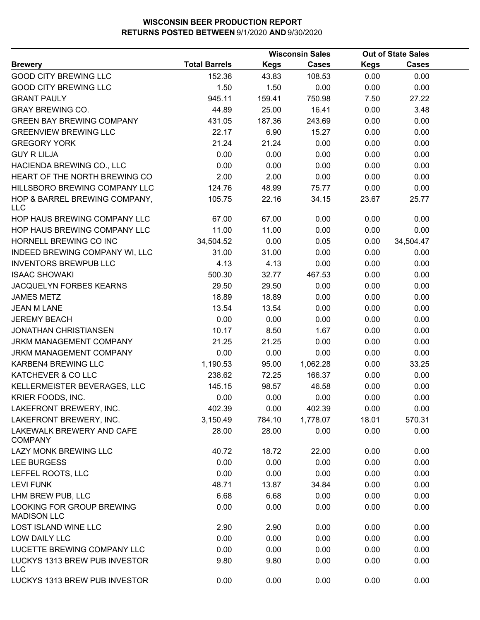|                                                 |                      |        | <b>Wisconsin Sales</b> |             | <b>Out of State Sales</b> |  |
|-------------------------------------------------|----------------------|--------|------------------------|-------------|---------------------------|--|
| <b>Brewery</b>                                  | <b>Total Barrels</b> | Kegs   | <b>Cases</b>           | <b>Kegs</b> | Cases                     |  |
| <b>GOOD CITY BREWING LLC</b>                    | 152.36               | 43.83  | 108.53                 | 0.00        | 0.00                      |  |
| <b>GOOD CITY BREWING LLC</b>                    | 1.50                 | 1.50   | 0.00                   | 0.00        | 0.00                      |  |
| <b>GRANT PAULY</b>                              | 945.11               | 159.41 | 750.98                 | 7.50        | 27.22                     |  |
| <b>GRAY BREWING CO.</b>                         | 44.89                | 25.00  | 16.41                  | 0.00        | 3.48                      |  |
| <b>GREEN BAY BREWING COMPANY</b>                | 431.05               | 187.36 | 243.69                 | 0.00        | 0.00                      |  |
| <b>GREENVIEW BREWING LLC</b>                    | 22.17                | 6.90   | 15.27                  | 0.00        | 0.00                      |  |
| <b>GREGORY YORK</b>                             | 21.24                | 21.24  | 0.00                   | 0.00        | 0.00                      |  |
| <b>GUY R LILJA</b>                              | 0.00                 | 0.00   | 0.00                   | 0.00        | 0.00                      |  |
| HACIENDA BREWING CO., LLC                       | 0.00                 | 0.00   | 0.00                   | 0.00        | 0.00                      |  |
| HEART OF THE NORTH BREWING CO                   | 2.00                 | 2.00   | 0.00                   | 0.00        | 0.00                      |  |
| HILLSBORO BREWING COMPANY LLC                   | 124.76               | 48.99  | 75.77                  | 0.00        | 0.00                      |  |
| HOP & BARREL BREWING COMPANY,<br><b>LLC</b>     | 105.75               | 22.16  | 34.15                  | 23.67       | 25.77                     |  |
| HOP HAUS BREWING COMPANY LLC                    | 67.00                | 67.00  | 0.00                   | 0.00        | 0.00                      |  |
| HOP HAUS BREWING COMPANY LLC                    | 11.00                | 11.00  | 0.00                   | 0.00        | 0.00                      |  |
| HORNELL BREWING CO INC                          | 34,504.52            | 0.00   | 0.05                   | 0.00        | 34,504.47                 |  |
| INDEED BREWING COMPANY WI, LLC                  | 31.00                | 31.00  | 0.00                   | 0.00        | 0.00                      |  |
| <b>INVENTORS BREWPUB LLC</b>                    | 4.13                 | 4.13   | 0.00                   | 0.00        | 0.00                      |  |
| <b>ISAAC SHOWAKI</b>                            | 500.30               | 32.77  | 467.53                 | 0.00        | 0.00                      |  |
| JACQUELYN FORBES KEARNS                         | 29.50                | 29.50  | 0.00                   | 0.00        | 0.00                      |  |
| <b>JAMES METZ</b>                               | 18.89                | 18.89  | 0.00                   | 0.00        | 0.00                      |  |
| <b>JEAN M LANE</b>                              | 13.54                | 13.54  | 0.00                   | 0.00        | 0.00                      |  |
| <b>JEREMY BEACH</b>                             | 0.00                 | 0.00   | 0.00                   | 0.00        | 0.00                      |  |
| <b>JONATHAN CHRISTIANSEN</b>                    | 10.17                | 8.50   | 1.67                   | 0.00        | 0.00                      |  |
| JRKM MANAGEMENT COMPANY                         | 21.25                | 21.25  | 0.00                   | 0.00        | 0.00                      |  |
| JRKM MANAGEMENT COMPANY                         | 0.00                 | 0.00   | 0.00                   | 0.00        | 0.00                      |  |
| KARBEN4 BREWING LLC                             | 1,190.53             | 95.00  | 1,062.28               | 0.00        | 33.25                     |  |
| KATCHEVER & CO LLC                              | 238.62               | 72.25  | 166.37                 | 0.00        | 0.00                      |  |
| KELLERMEISTER BEVERAGES, LLC                    | 145.15               | 98.57  | 46.58                  | 0.00        | 0.00                      |  |
| KRIER FOODS, INC.                               | 0.00                 | 0.00   | 0.00                   | 0.00        | 0.00                      |  |
| LAKEFRONT BREWERY, INC.                         | 402.39               | 0.00   | 402.39                 | 0.00        | 0.00                      |  |
| LAKEFRONT BREWERY, INC.                         | 3,150.49             | 784.10 | 1,778.07               | 18.01       | 570.31                    |  |
| LAKEWALK BREWERY AND CAFE<br><b>COMPANY</b>     | 28.00                | 28.00  | 0.00                   | 0.00        | 0.00                      |  |
| LAZY MONK BREWING LLC                           | 40.72                | 18.72  | 22.00                  | 0.00        | 0.00                      |  |
| <b>LEE BURGESS</b>                              | 0.00                 | 0.00   | 0.00                   | 0.00        | 0.00                      |  |
| LEFFEL ROOTS, LLC                               | 0.00                 | 0.00   | 0.00                   | 0.00        | 0.00                      |  |
| <b>LEVI FUNK</b>                                | 48.71                | 13.87  | 34.84                  | 0.00        | 0.00                      |  |
| LHM BREW PUB, LLC                               | 6.68                 | 6.68   | 0.00                   | 0.00        | 0.00                      |  |
| LOOKING FOR GROUP BREWING<br><b>MADISON LLC</b> | 0.00                 | 0.00   | 0.00                   | 0.00        | 0.00                      |  |
| LOST ISLAND WINE LLC                            | 2.90                 | 2.90   | 0.00                   | 0.00        | 0.00                      |  |
| LOW DAILY LLC                                   | 0.00                 | 0.00   | 0.00                   | 0.00        | 0.00                      |  |
| LUCETTE BREWING COMPANY LLC                     | 0.00                 | 0.00   | 0.00                   | 0.00        | 0.00                      |  |
| LUCKYS 1313 BREW PUB INVESTOR<br><b>LLC</b>     | 9.80                 | 9.80   | 0.00                   | 0.00        | 0.00                      |  |
| LUCKYS 1313 BREW PUB INVESTOR                   | 0.00                 | 0.00   | 0.00                   | 0.00        | 0.00                      |  |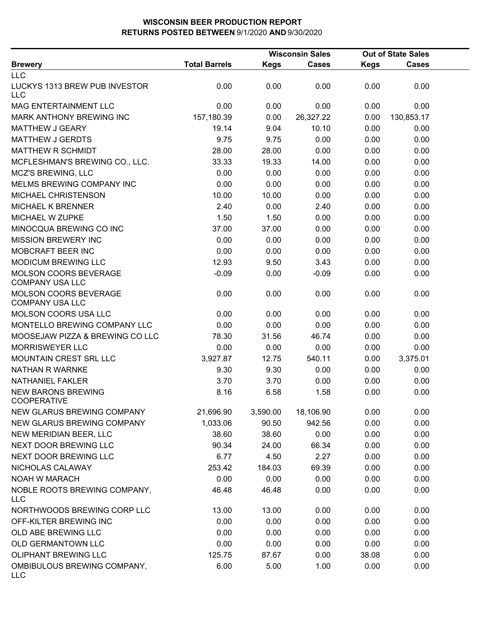|                                                 |                      |             | <b>Wisconsin Sales</b> |             | <b>Out of State Sales</b> |  |
|-------------------------------------------------|----------------------|-------------|------------------------|-------------|---------------------------|--|
| <b>Brewery</b>                                  | <b>Total Barrels</b> | <b>Kegs</b> | <b>Cases</b>           | <b>Kegs</b> | <b>Cases</b>              |  |
| <b>LLC</b>                                      |                      |             |                        |             |                           |  |
| LUCKYS 1313 BREW PUB INVESTOR<br><b>LLC</b>     | 0.00                 | 0.00        | 0.00                   | 0.00        | 0.00                      |  |
| <b>MAG ENTERTAINMENT LLC</b>                    | 0.00                 | 0.00        | 0.00                   | 0.00        | 0.00                      |  |
| MARK ANTHONY BREWING INC                        | 157,180.39           | 0.00        | 26,327.22              | 0.00        | 130,853.17                |  |
| <b>MATTHEW J GEARY</b>                          | 19.14                | 9.04        | 10.10                  | 0.00        | 0.00                      |  |
| <b>MATTHEW J GERDTS</b>                         | 9.75                 | 9.75        | 0.00                   | 0.00        | 0.00                      |  |
| MATTHEW R SCHMIDT                               | 28.00                | 28.00       | 0.00                   | 0.00        | 0.00                      |  |
| MCFLESHMAN'S BREWING CO., LLC.                  | 33.33                | 19.33       | 14.00                  | 0.00        | 0.00                      |  |
| <b>MCZ'S BREWING, LLC</b>                       | 0.00                 | 0.00        | 0.00                   | 0.00        | 0.00                      |  |
| MELMS BREWING COMPANY INC                       | 0.00                 | 0.00        | 0.00                   | 0.00        | 0.00                      |  |
| MICHAEL CHRISTENSON                             | 10.00                | 10.00       | 0.00                   | 0.00        | 0.00                      |  |
| <b>MICHAEL K BRENNER</b>                        | 2.40                 | 0.00        | 2.40                   | 0.00        | 0.00                      |  |
| MICHAEL W ZUPKE                                 | 1.50                 | 1.50        | 0.00                   | 0.00        | 0.00                      |  |
| MINOCQUA BREWING CO INC                         | 37.00                | 37.00       | 0.00                   | 0.00        | 0.00                      |  |
| <b>MISSION BREWERY INC</b>                      | 0.00                 | 0.00        | 0.00                   | 0.00        | 0.00                      |  |
| MOBCRAFT BEER INC                               | 0.00                 | 0.00        | 0.00                   | 0.00        | 0.00                      |  |
| MODICUM BREWING LLC                             | 12.93                | 9.50        | 3.43                   | 0.00        | 0.00                      |  |
| MOLSON COORS BEVERAGE<br><b>COMPANY USA LLC</b> | $-0.09$              | 0.00        | $-0.09$                | 0.00        | 0.00                      |  |
| MOLSON COORS BEVERAGE<br><b>COMPANY USA LLC</b> | 0.00                 | 0.00        | 0.00                   | 0.00        | 0.00                      |  |
| <b>MOLSON COORS USA LLC</b>                     | 0.00                 | 0.00        | 0.00                   | 0.00        | 0.00                      |  |
| MONTELLO BREWING COMPANY LLC                    | 0.00                 | 0.00        | 0.00                   | 0.00        | 0.00                      |  |
| MOOSEJAW PIZZA & BREWING CO LLC                 | 78.30                | 31.56       | 46.74                  | 0.00        | 0.00                      |  |
| <b>MORRISWEYER LLC</b>                          | 0.00                 | 0.00        | 0.00                   | 0.00        | 0.00                      |  |
| MOUNTAIN CREST SRL LLC                          | 3,927.87             | 12.75       | 540.11                 | 0.00        | 3,375.01                  |  |
| NATHAN R WARNKE                                 | 9.30                 | 9.30        | 0.00                   | 0.00        | 0.00                      |  |
| <b>NATHANIEL FAKLER</b>                         | 3.70                 | 3.70        | 0.00                   | 0.00        | 0.00                      |  |
| <b>NEW BARONS BREWING</b><br><b>COOPERATIVE</b> | 8.16                 | 6.58        | 1.58                   | 0.00        | 0.00                      |  |
| NEW GLARUS BREWING COMPANY                      | 21,696.90            | 3,590.00    | 18,106.90              | 0.00        | 0.00                      |  |
| NEW GLARUS BREWING COMPANY                      | 1,033.06             | 90.50       | 942.56                 | 0.00        | 0.00                      |  |
| NEW MERIDIAN BEER, LLC                          | 38.60                | 38.60       | 0.00                   | 0.00        | 0.00                      |  |
| NEXT DOOR BREWING LLC                           | 90.34                | 24.00       | 66.34                  | 0.00        | 0.00                      |  |
| NEXT DOOR BREWING LLC                           | 6.77                 | 4.50        | 2.27                   | 0.00        | 0.00                      |  |
| NICHOLAS CALAWAY                                | 253.42               | 184.03      | 69.39                  | 0.00        | 0.00                      |  |
| <b>NOAH W MARACH</b>                            | 0.00                 | 0.00        | 0.00                   | 0.00        | 0.00                      |  |
| NOBLE ROOTS BREWING COMPANY,<br><b>LLC</b>      | 46.48                | 46.48       | 0.00                   | 0.00        | 0.00                      |  |
| NORTHWOODS BREWING CORP LLC                     | 13.00                | 13.00       | 0.00                   | 0.00        | 0.00                      |  |
| OFF-KILTER BREWING INC                          | 0.00                 | 0.00        | 0.00                   | 0.00        | 0.00                      |  |
| OLD ABE BREWING LLC                             | 0.00                 | 0.00        | 0.00                   | 0.00        | 0.00                      |  |
| OLD GERMANTOWN LLC                              | 0.00                 | 0.00        | 0.00                   | 0.00        | 0.00                      |  |
| <b>OLIPHANT BREWING LLC</b>                     | 125.75               | 87.67       | 0.00                   | 38.08       | 0.00                      |  |
| OMBIBULOUS BREWING COMPANY,<br>LLC              | 6.00                 | 5.00        | 1.00                   | 0.00        | 0.00                      |  |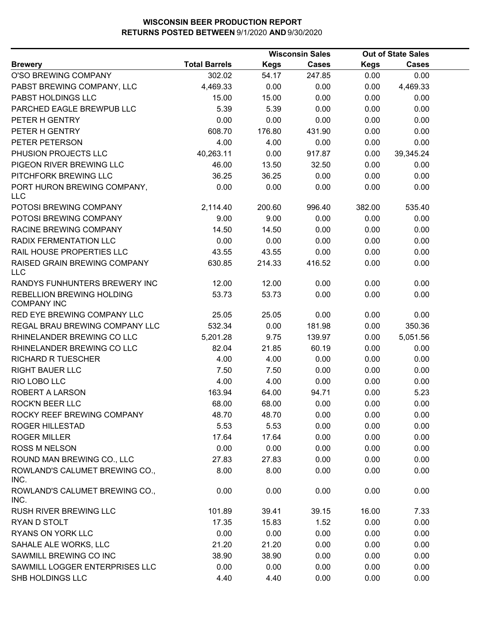|                                                 |                      | <b>Wisconsin Sales</b> |              |             | <b>Out of State Sales</b> |  |
|-------------------------------------------------|----------------------|------------------------|--------------|-------------|---------------------------|--|
| <b>Brewery</b>                                  | <b>Total Barrels</b> | <b>Kegs</b>            | <b>Cases</b> | <b>Kegs</b> | Cases                     |  |
| O'SO BREWING COMPANY                            | 302.02               | 54.17                  | 247.85       | 0.00        | 0.00                      |  |
| PABST BREWING COMPANY, LLC                      | 4,469.33             | 0.00                   | 0.00         | 0.00        | 4,469.33                  |  |
| PABST HOLDINGS LLC                              | 15.00                | 15.00                  | 0.00         | 0.00        | 0.00                      |  |
| PARCHED EAGLE BREWPUB LLC                       | 5.39                 | 5.39                   | 0.00         | 0.00        | 0.00                      |  |
| PETER H GENTRY                                  | 0.00                 | 0.00                   | 0.00         | 0.00        | 0.00                      |  |
| PETER H GENTRY                                  | 608.70               | 176.80                 | 431.90       | 0.00        | 0.00                      |  |
| PETER PETERSON                                  | 4.00                 | 4.00                   | 0.00         | 0.00        | 0.00                      |  |
| PHUSION PROJECTS LLC                            | 40,263.11            | 0.00                   | 917.87       | 0.00        | 39,345.24                 |  |
| PIGEON RIVER BREWING LLC                        | 46.00                | 13.50                  | 32.50        | 0.00        | 0.00                      |  |
| PITCHFORK BREWING LLC                           | 36.25                | 36.25                  | 0.00         | 0.00        | 0.00                      |  |
| PORT HURON BREWING COMPANY,<br><b>LLC</b>       | 0.00                 | 0.00                   | 0.00         | 0.00        | 0.00                      |  |
| POTOSI BREWING COMPANY                          | 2,114.40             | 200.60                 | 996.40       | 382.00      | 535.40                    |  |
| POTOSI BREWING COMPANY                          | 9.00                 | 9.00                   | 0.00         | 0.00        | 0.00                      |  |
| RACINE BREWING COMPANY                          | 14.50                | 14.50                  | 0.00         | 0.00        | 0.00                      |  |
| RADIX FERMENTATION LLC                          | 0.00                 | 0.00                   | 0.00         | 0.00        | 0.00                      |  |
| RAIL HOUSE PROPERTIES LLC                       | 43.55                | 43.55                  | 0.00         | 0.00        | 0.00                      |  |
| RAISED GRAIN BREWING COMPANY<br><b>LLC</b>      | 630.85               | 214.33                 | 416.52       | 0.00        | 0.00                      |  |
| RANDYS FUNHUNTERS BREWERY INC                   | 12.00                | 12.00                  | 0.00         | 0.00        | 0.00                      |  |
| REBELLION BREWING HOLDING<br><b>COMPANY INC</b> | 53.73                | 53.73                  | 0.00         | 0.00        | 0.00                      |  |
| RED EYE BREWING COMPANY LLC                     | 25.05                | 25.05                  | 0.00         | 0.00        | 0.00                      |  |
| REGAL BRAU BREWING COMPANY LLC                  | 532.34               | 0.00                   | 181.98       | 0.00        | 350.36                    |  |
| RHINELANDER BREWING CO LLC                      | 5,201.28             | 9.75                   | 139.97       | 0.00        | 5,051.56                  |  |
| RHINELANDER BREWING CO LLC                      | 82.04                | 21.85                  | 60.19        | 0.00        | 0.00                      |  |
| <b>RICHARD R TUESCHER</b>                       | 4.00                 | 4.00                   | 0.00         | 0.00        | 0.00                      |  |
| <b>RIGHT BAUER LLC</b>                          | 7.50                 | 7.50                   | 0.00         | 0.00        | 0.00                      |  |
| RIO LOBO LLC                                    | 4.00                 | 4.00                   | 0.00         | 0.00        | 0.00                      |  |
| ROBERT A LARSON                                 | 163.94               | 64.00                  | 94.71        | 0.00        | 5.23                      |  |
| <b>ROCK'N BEER LLC</b>                          | 68.00                | 68.00                  | 0.00         | 0.00        | 0.00                      |  |
| ROCKY REEF BREWING COMPANY                      | 48.70                | 48.70                  | 0.00         | 0.00        | 0.00                      |  |
| ROGER HILLESTAD                                 | 5.53                 | 5.53                   | 0.00         | 0.00        | 0.00                      |  |
| <b>ROGER MILLER</b>                             | 17.64                | 17.64                  | 0.00         | 0.00        | 0.00                      |  |
| <b>ROSS M NELSON</b>                            | 0.00                 | 0.00                   | 0.00         | 0.00        | 0.00                      |  |
| ROUND MAN BREWING CO., LLC                      | 27.83                | 27.83                  | 0.00         | 0.00        | 0.00                      |  |
| ROWLAND'S CALUMET BREWING CO.,<br>INC.          | 8.00                 | 8.00                   | 0.00         | 0.00        | 0.00                      |  |
| ROWLAND'S CALUMET BREWING CO.,<br>INC.          | 0.00                 | 0.00                   | 0.00         | 0.00        | 0.00                      |  |
| RUSH RIVER BREWING LLC                          | 101.89               | 39.41                  | 39.15        | 16.00       | 7.33                      |  |
| RYAN D STOLT                                    | 17.35                | 15.83                  | 1.52         | 0.00        | 0.00                      |  |
| <b>RYANS ON YORK LLC</b>                        | 0.00                 | 0.00                   | 0.00         | 0.00        | 0.00                      |  |
| SAHALE ALE WORKS, LLC                           | 21.20                | 21.20                  | 0.00         | 0.00        | 0.00                      |  |
| SAWMILL BREWING CO INC                          | 38.90                | 38.90                  | 0.00         | 0.00        | 0.00                      |  |
| SAWMILL LOGGER ENTERPRISES LLC                  | 0.00                 | 0.00                   | 0.00         | 0.00        | 0.00                      |  |
| SHB HOLDINGS LLC                                | 4.40                 | 4.40                   | 0.00         | 0.00        | 0.00                      |  |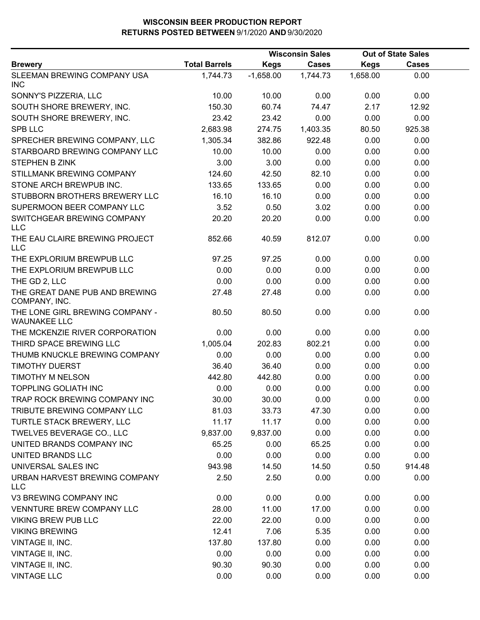|                                                        |                      | <b>Wisconsin Sales</b> |              |             | <b>Out of State Sales</b> |  |
|--------------------------------------------------------|----------------------|------------------------|--------------|-------------|---------------------------|--|
| <b>Brewery</b>                                         | <b>Total Barrels</b> | <b>Kegs</b>            | <b>Cases</b> | <b>Kegs</b> | <b>Cases</b>              |  |
| SLEEMAN BREWING COMPANY USA<br><b>INC</b>              | 1,744.73             | $-1,658.00$            | 1,744.73     | 1,658.00    | 0.00                      |  |
| SONNY'S PIZZERIA, LLC                                  | 10.00                | 10.00                  | 0.00         | 0.00        | 0.00                      |  |
| SOUTH SHORE BREWERY, INC.                              | 150.30               | 60.74                  | 74.47        | 2.17        | 12.92                     |  |
| SOUTH SHORE BREWERY, INC.                              | 23.42                | 23.42                  | 0.00         | 0.00        | 0.00                      |  |
| <b>SPB LLC</b>                                         | 2,683.98             | 274.75                 | 1,403.35     | 80.50       | 925.38                    |  |
| SPRECHER BREWING COMPANY, LLC                          | 1,305.34             | 382.86                 | 922.48       | 0.00        | 0.00                      |  |
| STARBOARD BREWING COMPANY LLC                          | 10.00                | 10.00                  | 0.00         | 0.00        | 0.00                      |  |
| STEPHEN B ZINK                                         | 3.00                 | 3.00                   | 0.00         | 0.00        | 0.00                      |  |
| STILLMANK BREWING COMPANY                              | 124.60               | 42.50                  | 82.10        | 0.00        | 0.00                      |  |
| STONE ARCH BREWPUB INC.                                | 133.65               | 133.65                 | 0.00         | 0.00        | 0.00                      |  |
| STUBBORN BROTHERS BREWERY LLC                          | 16.10                | 16.10                  | 0.00         | 0.00        | 0.00                      |  |
| SUPERMOON BEER COMPANY LLC                             | 3.52                 | 0.50                   | 3.02         | 0.00        | 0.00                      |  |
| SWITCHGEAR BREWING COMPANY<br><b>LLC</b>               | 20.20                | 20.20                  | 0.00         | 0.00        | 0.00                      |  |
| THE EAU CLAIRE BREWING PROJECT<br><b>LLC</b>           | 852.66               | 40.59                  | 812.07       | 0.00        | 0.00                      |  |
| THE EXPLORIUM BREWPUB LLC                              | 97.25                | 97.25                  | 0.00         | 0.00        | 0.00                      |  |
| THE EXPLORIUM BREWPUB LLC                              | 0.00                 | 0.00                   | 0.00         | 0.00        | 0.00                      |  |
| THE GD 2, LLC                                          | 0.00                 | 0.00                   | 0.00         | 0.00        | 0.00                      |  |
| THE GREAT DANE PUB AND BREWING<br>COMPANY, INC.        | 27.48                | 27.48                  | 0.00         | 0.00        | 0.00                      |  |
| THE LONE GIRL BREWING COMPANY -<br><b>WAUNAKEE LLC</b> | 80.50                | 80.50                  | 0.00         | 0.00        | 0.00                      |  |
| THE MCKENZIE RIVER CORPORATION                         | 0.00                 | 0.00                   | 0.00         | 0.00        | 0.00                      |  |
| THIRD SPACE BREWING LLC                                | 1,005.04             | 202.83                 | 802.21       | 0.00        | 0.00                      |  |
| THUMB KNUCKLE BREWING COMPANY                          | 0.00                 | 0.00                   | 0.00         | 0.00        | 0.00                      |  |
| <b>TIMOTHY DUERST</b>                                  | 36.40                | 36.40                  | 0.00         | 0.00        | 0.00                      |  |
| <b>TIMOTHY M NELSON</b>                                | 442.80               | 442.80                 | 0.00         | 0.00        | 0.00                      |  |
| <b>TOPPLING GOLIATH INC</b>                            | 0.00                 | 0.00                   | 0.00         | 0.00        | 0.00                      |  |
| TRAP ROCK BREWING COMPANY INC                          | 30.00                | 30.00                  | 0.00         | 0.00        | 0.00                      |  |
| TRIBUTE BREWING COMPANY LLC                            | 81.03                | 33.73                  | 47.30        | 0.00        | 0.00                      |  |
| TURTLE STACK BREWERY, LLC                              | 11.17                | 11.17                  | 0.00         | 0.00        | 0.00                      |  |
| TWELVE5 BEVERAGE CO., LLC                              | 9,837.00             | 9,837.00               | 0.00         | 0.00        | 0.00                      |  |
| UNITED BRANDS COMPANY INC                              | 65.25                | 0.00                   | 65.25        | 0.00        | 0.00                      |  |
| UNITED BRANDS LLC                                      | 0.00                 | 0.00                   | 0.00         | 0.00        | 0.00                      |  |
| UNIVERSAL SALES INC                                    | 943.98               | 14.50                  | 14.50        | 0.50        | 914.48                    |  |
| URBAN HARVEST BREWING COMPANY<br><b>LLC</b>            | 2.50                 | 2.50                   | 0.00         | 0.00        | 0.00                      |  |
| V3 BREWING COMPANY INC                                 | 0.00                 | 0.00                   | 0.00         | 0.00        | 0.00                      |  |
| VENNTURE BREW COMPANY LLC                              | 28.00                | 11.00                  | 17.00        | 0.00        | 0.00                      |  |
| <b>VIKING BREW PUB LLC</b>                             | 22.00                | 22.00                  | 0.00         | 0.00        | 0.00                      |  |
| <b>VIKING BREWING</b>                                  | 12.41                | 7.06                   | 5.35         | 0.00        | 0.00                      |  |
| VINTAGE II, INC.                                       | 137.80               | 137.80                 | 0.00         | 0.00        | 0.00                      |  |
| VINTAGE II, INC.                                       | 0.00                 | 0.00                   | 0.00         | 0.00        | 0.00                      |  |
| VINTAGE II, INC.                                       | 90.30                | 90.30                  | 0.00         | 0.00        | 0.00                      |  |
| <b>VINTAGE LLC</b>                                     | 0.00                 | 0.00                   | 0.00         | 0.00        | 0.00                      |  |